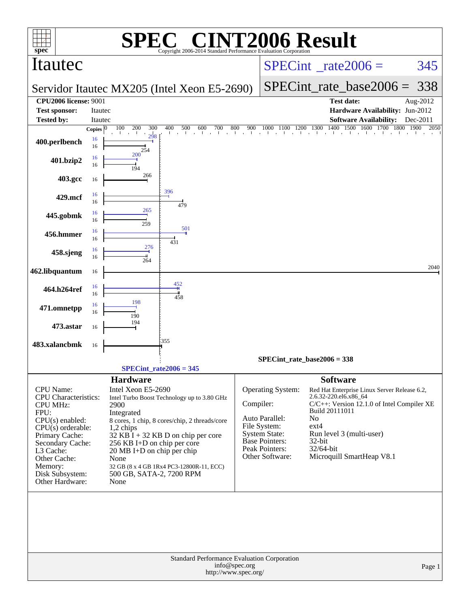|                                                                                                                                                                                                                                     |                         |                                                                                                                                                                                   | <b>C® CINT2006 Result</b>                                                                                                                                                        |                                          |                                                                                                                                           |                                                                                                     |                                                                                                                                                     |                                  |
|-------------------------------------------------------------------------------------------------------------------------------------------------------------------------------------------------------------------------------------|-------------------------|-----------------------------------------------------------------------------------------------------------------------------------------------------------------------------------|----------------------------------------------------------------------------------------------------------------------------------------------------------------------------------|------------------------------------------|-------------------------------------------------------------------------------------------------------------------------------------------|-----------------------------------------------------------------------------------------------------|-----------------------------------------------------------------------------------------------------------------------------------------------------|----------------------------------|
| spec®<br>Itautec                                                                                                                                                                                                                    |                         |                                                                                                                                                                                   | Copyright 2006-2014 Standard Performance Evaluation Cornoration                                                                                                                  | $SPECint^{\circ}$ <sub>_rate2006</sub> = |                                                                                                                                           |                                                                                                     | 345                                                                                                                                                 |                                  |
|                                                                                                                                                                                                                                     |                         |                                                                                                                                                                                   | Servidor Itautec MX205 (Intel Xeon E5-2690)                                                                                                                                      |                                          |                                                                                                                                           | $SPECint_rate_base2006 =$                                                                           | 338                                                                                                                                                 |                                  |
| <b>CPU2006 license: 9001</b>                                                                                                                                                                                                        |                         |                                                                                                                                                                                   |                                                                                                                                                                                  |                                          |                                                                                                                                           |                                                                                                     | <b>Test date:</b>                                                                                                                                   | Aug-2012                         |
| <b>Test sponsor:</b>                                                                                                                                                                                                                | <b>Itautec</b>          |                                                                                                                                                                                   |                                                                                                                                                                                  |                                          |                                                                                                                                           |                                                                                                     | Hardware Availability: Jun-2012                                                                                                                     |                                  |
| <b>Tested by:</b>                                                                                                                                                                                                                   | Itautec<br>Copies $ 0 $ | 200<br>300<br>100                                                                                                                                                                 | 400<br>500<br>600<br>$^{700}$                                                                                                                                                    | 800<br>900                               | $\begin{array}{cccccc} 1000 & 1100 & 1200 & 1300 & 140 \\ & &   & &   & &   \end{array}$                                                  | 1400                                                                                                | <b>Software Availability:</b><br>1500 1600 1700                                                                                                     | Dec-2011<br>1800<br>1900<br>2050 |
| 400.perlbench                                                                                                                                                                                                                       | 16<br>16                | 298<br>254                                                                                                                                                                        |                                                                                                                                                                                  |                                          |                                                                                                                                           |                                                                                                     |                                                                                                                                                     |                                  |
| 401.bzip2                                                                                                                                                                                                                           | 16<br>16                | 200<br>194                                                                                                                                                                        |                                                                                                                                                                                  |                                          |                                                                                                                                           |                                                                                                     |                                                                                                                                                     |                                  |
| 403.gcc                                                                                                                                                                                                                             | 16                      | 266                                                                                                                                                                               |                                                                                                                                                                                  |                                          |                                                                                                                                           |                                                                                                     |                                                                                                                                                     |                                  |
| 429.mcf                                                                                                                                                                                                                             | 16<br>16                |                                                                                                                                                                                   | 396<br>479                                                                                                                                                                       |                                          |                                                                                                                                           |                                                                                                     |                                                                                                                                                     |                                  |
| 445.gobmk                                                                                                                                                                                                                           | 16<br>16                | 265<br>259                                                                                                                                                                        | 501                                                                                                                                                                              |                                          |                                                                                                                                           |                                                                                                     |                                                                                                                                                     |                                  |
| 456.hmmer                                                                                                                                                                                                                           | 16<br>16                | 276                                                                                                                                                                               | 431                                                                                                                                                                              |                                          |                                                                                                                                           |                                                                                                     |                                                                                                                                                     |                                  |
| 458.sjeng                                                                                                                                                                                                                           | 16<br>16                | 264                                                                                                                                                                               |                                                                                                                                                                                  |                                          |                                                                                                                                           |                                                                                                     |                                                                                                                                                     |                                  |
| 462.libquantum                                                                                                                                                                                                                      | 16                      |                                                                                                                                                                                   |                                                                                                                                                                                  |                                          |                                                                                                                                           |                                                                                                     |                                                                                                                                                     | 2040                             |
| 464.h264ref                                                                                                                                                                                                                         | 16<br>16                |                                                                                                                                                                                   | 452<br>458                                                                                                                                                                       |                                          |                                                                                                                                           |                                                                                                     |                                                                                                                                                     |                                  |
| 471.omnetpp                                                                                                                                                                                                                         | 16<br>16                | 198<br>190                                                                                                                                                                        |                                                                                                                                                                                  |                                          |                                                                                                                                           |                                                                                                     |                                                                                                                                                     |                                  |
| 473.astar                                                                                                                                                                                                                           | 16                      | 194                                                                                                                                                                               | 355                                                                                                                                                                              |                                          |                                                                                                                                           |                                                                                                     |                                                                                                                                                     |                                  |
| 483.xalancbmk                                                                                                                                                                                                                       | 16                      |                                                                                                                                                                                   |                                                                                                                                                                                  |                                          |                                                                                                                                           |                                                                                                     |                                                                                                                                                     |                                  |
|                                                                                                                                                                                                                                     |                         |                                                                                                                                                                                   |                                                                                                                                                                                  |                                          | $SPECint_rate_base2006 = 338$                                                                                                             |                                                                                                     |                                                                                                                                                     |                                  |
|                                                                                                                                                                                                                                     |                         |                                                                                                                                                                                   | $SPECint_rate2006 = 345$                                                                                                                                                         |                                          |                                                                                                                                           |                                                                                                     |                                                                                                                                                     |                                  |
| CPU Name:<br><b>CPU</b> Characteristics:<br><b>CPU MHz:</b><br>FPU:<br>$CPU(s)$ enabled:<br>$CPU(s)$ orderable:<br>Primary Cache:<br>Secondary Cache:<br>L3 Cache:<br>Other Cache:<br>Memory:<br>Disk Subsystem:<br>Other Hardware: |                         | <b>Hardware</b><br>Intel Xeon E5-2690<br>2900<br>Integrated<br>1,2 chips<br>256 KB I+D on chip per core<br>20 MB I+D on chip per chip<br>None<br>500 GB, SATA-2, 7200 RPM<br>None | Intel Turbo Boost Technology up to 3.80 GHz<br>8 cores, 1 chip, 8 cores/chip, 2 threads/core<br>$32$ KB I + 32 KB D on chip per core<br>32 GB (8 x 4 GB 1Rx4 PC3-12800R-11, ECC) | Compiler:                                | Operating System:<br>Auto Parallel:<br>File System:<br><b>System State:</b><br><b>Base Pointers:</b><br>Peak Pointers:<br>Other Software: | <b>Software</b><br>2.6.32-220.el6.x86_64<br>Build 20111011<br>No<br>$ext{4}$<br>32-bit<br>32/64-bit | Red Hat Enterprise Linux Server Release 6.2,<br>C/C++: Version 12.1.0 of Intel Compiler XE<br>Run level 3 (multi-user)<br>Microquill SmartHeap V8.1 |                                  |
|                                                                                                                                                                                                                                     |                         |                                                                                                                                                                                   | Standard Performance Evaluation Corporation                                                                                                                                      | info@spec.org                            |                                                                                                                                           |                                                                                                     |                                                                                                                                                     |                                  |
|                                                                                                                                                                                                                                     |                         |                                                                                                                                                                                   | http://www.spec.org/                                                                                                                                                             |                                          |                                                                                                                                           |                                                                                                     |                                                                                                                                                     | Page 1                           |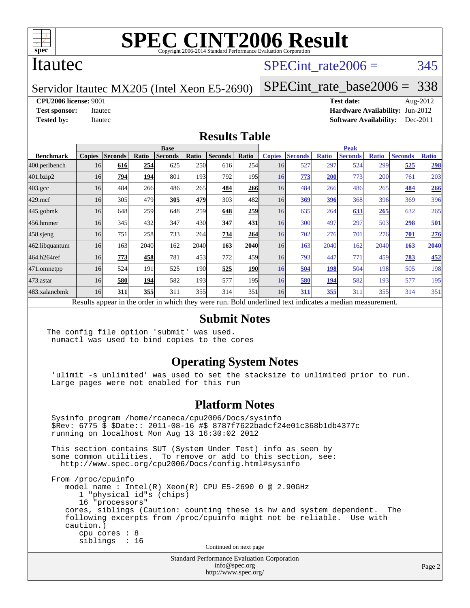

### Itautec

## SPECint rate $2006 = 345$

Servidor Itautec MX205 (Intel Xeon E5-2690)

[SPECint\\_rate\\_base2006 =](http://www.spec.org/auto/cpu2006/Docs/result-fields.html#SPECintratebase2006) 338

**[CPU2006 license:](http://www.spec.org/auto/cpu2006/Docs/result-fields.html#CPU2006license)** 9001 **[Test date:](http://www.spec.org/auto/cpu2006/Docs/result-fields.html#Testdate)** Aug-2012

**[Test sponsor:](http://www.spec.org/auto/cpu2006/Docs/result-fields.html#Testsponsor)** Itautec **[Hardware Availability:](http://www.spec.org/auto/cpu2006/Docs/result-fields.html#HardwareAvailability)** Jun-2012 **[Tested by:](http://www.spec.org/auto/cpu2006/Docs/result-fields.html#Testedby)** Itautec **Italien Contract Contract Contract Contract Contract Contract Contract Contract Contract Contract Contract Contract Contract Contract Contract Contract Contract Contract Contract Contract Contract Con** 

#### **[Results Table](http://www.spec.org/auto/cpu2006/Docs/result-fields.html#ResultsTable)**

|                                                                                                          | <b>Base</b>   |                |       |                |            |                |                  | <b>Peak</b>   |                |              |                |              |                |              |
|----------------------------------------------------------------------------------------------------------|---------------|----------------|-------|----------------|------------|----------------|------------------|---------------|----------------|--------------|----------------|--------------|----------------|--------------|
| <b>Benchmark</b>                                                                                         | <b>Copies</b> | <b>Seconds</b> | Ratio | <b>Seconds</b> | Ratio      | <b>Seconds</b> | Ratio            | <b>Copies</b> | <b>Seconds</b> | <b>Ratio</b> | <b>Seconds</b> | <b>Ratio</b> | <b>Seconds</b> | <b>Ratio</b> |
| 400.perlbench                                                                                            | 16            | 616            | 254   | 625            | <b>250</b> | 616            | 254              | 16            | 527            | 297          | 524            | 299          | 525            | 298          |
| 401.bzip2                                                                                                | 16            | 794            | 194   | 801            | 193        | 792            | 195 <sub>l</sub> | 16            | 773            | 200          | 773            | 200          | 761            | 203          |
| $403.\mathrm{gcc}$                                                                                       | 16            | 484            | 266   | 486            | 265        | 484            | 266              | 16            | 484            | 266          | 486            | 265          | 484            | 266          |
| $429$ .mcf                                                                                               | 16            | 305            | 479   | 305            | 479        | 303            | 482              | 16            | 369            | 396          | 368            | 396          | 369            | 396          |
| $445$ .gobm $k$                                                                                          | 16            | 648            | 259   | 648            | 259        | 648            | 259              | 16            | 635            | 264          | 633            | 265          | 632            | 265          |
| 456.hmmer                                                                                                | 16            | 345            | 432   | 347            | 430l       | 347            | 431              | 16            | 300            | 497          | 297            | 503          | 298            | 501          |
| 458 sjeng                                                                                                | 16            | 751            | 258   | 733            | 264        | 734            | 264              | 16            | 702            | 276          | 701            | 276          | 701            | 276          |
| 462.libquantum                                                                                           | 16            | 163            | 2040  | 162            | 2040       | 163            | <b>2040</b>      | 16            | 163            | 2040         | 162            | 2040         | 163            | 2040         |
| 464.h264ref                                                                                              | 16            | 773            | 458   | 781            | 453        | 772            | 459              | 16            | 793            | 447          | 771            | 459          | 783            | 452          |
| 471.omnetpp                                                                                              | 16            | 524            | 191   | 525            | 190        | 525            | <b>190</b>       | 16            | 504            | 198          | 504            | 198          | 505            | 198          |
| $473.$ astar                                                                                             | 16            | 580            | 194   | 582            | 193        | 577            | 195              | 16            | 580            | 194          | 582            | 193          | 577            | 195          |
| 483.xalancbmk                                                                                            | 16            | 311            | 355   | 311            | 355        | 314            | 351              | 16            | 311            | 355          | 311            | 355          | 314            | 351          |
| Results appear in the order in which they were run. Bold underlined text indicates a median measurement. |               |                |       |                |            |                |                  |               |                |              |                |              |                |              |

#### **[Submit Notes](http://www.spec.org/auto/cpu2006/Docs/result-fields.html#SubmitNotes)**

The config file option 'submit' was used. numactl was used to bind copies to the cores

#### **[Operating System Notes](http://www.spec.org/auto/cpu2006/Docs/result-fields.html#OperatingSystemNotes)**

 'ulimit -s unlimited' was used to set the stacksize to unlimited prior to run. Large pages were not enabled for this run

#### **[Platform Notes](http://www.spec.org/auto/cpu2006/Docs/result-fields.html#PlatformNotes)**

 Sysinfo program /home/rcaneca/cpu2006/Docs/sysinfo \$Rev: 6775 \$ \$Date:: 2011-08-16 #\$ 8787f7622badcf24e01c368b1db4377c running on localhost Mon Aug 13 16:30:02 2012 This section contains SUT (System Under Test) info as seen by some common utilities. To remove or add to this section, see: <http://www.spec.org/cpu2006/Docs/config.html#sysinfo> From /proc/cpuinfo model name : Intel(R) Xeon(R) CPU E5-2690 0 @ 2.90GHz 1 "physical id"s (chips) 16 "processors" cores, siblings (Caution: counting these is hw and system dependent. The following excerpts from /proc/cpuinfo might not be reliable. Use with caution.) cpu cores : 8 siblings : 16 Continued on next page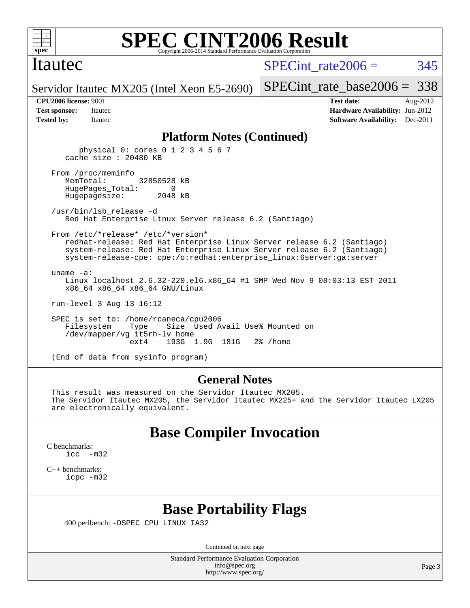

### Itautec

SPECint rate $2006 = 345$ 

Servidor Itautec MX205 (Intel Xeon E5-2690)

[SPECint\\_rate\\_base2006 =](http://www.spec.org/auto/cpu2006/Docs/result-fields.html#SPECintratebase2006) 338

**[CPU2006 license:](http://www.spec.org/auto/cpu2006/Docs/result-fields.html#CPU2006license)** 9001 **[Test date:](http://www.spec.org/auto/cpu2006/Docs/result-fields.html#Testdate)** Aug-2012 **[Test sponsor:](http://www.spec.org/auto/cpu2006/Docs/result-fields.html#Testsponsor)** Itautec **[Hardware Availability:](http://www.spec.org/auto/cpu2006/Docs/result-fields.html#HardwareAvailability)** Jun-2012 **[Tested by:](http://www.spec.org/auto/cpu2006/Docs/result-fields.html#Testedby)** Itautec **Italien Contract Contract Contract Contract Contract Contract Contract Contract Contract Contract Contract Contract Contract Contract Contract Contract Contract Contract Contract Contract Contract Con** 

#### **[Platform Notes \(Continued\)](http://www.spec.org/auto/cpu2006/Docs/result-fields.html#PlatformNotes)**

 physical 0: cores 0 1 2 3 4 5 6 7 cache size : 20480 KB From /proc/meminfo MemTotal: 32850528 kB HugePages\_Total: 0 Hugepagesize: 2048 kB /usr/bin/lsb\_release -d Red Hat Enterprise Linux Server release 6.2 (Santiago) From /etc/\*release\* /etc/\*version\* redhat-release: Red Hat Enterprise Linux Server release 6.2 (Santiago) system-release: Red Hat Enterprise Linux Server release 6.2 (Santiago) system-release-cpe: cpe:/o:redhat:enterprise\_linux:6server:ga:server uname -a: Linux localhost 2.6.32-220.el6.x86\_64 #1 SMP Wed Nov 9 08:03:13 EST 2011 x86\_64 x86\_64 x86\_64 GNU/Linux run-level 3 Aug 13 16:12

 SPEC is set to: /home/rcaneca/cpu2006 Filesystem Type Size Used Avail Use% Mounted on /dev/mapper/vg\_it5rh-lv\_home 193G 1.9G 181G 2% / home

(End of data from sysinfo program)

#### **[General Notes](http://www.spec.org/auto/cpu2006/Docs/result-fields.html#GeneralNotes)**

 This result was measured on the Servidor Itautec MX205. The Servidor Itautec MX205, the Servidor Itautec MX225+ and the Servidor Itautec LX205 are electronically equivalent.

## **[Base Compiler Invocation](http://www.spec.org/auto/cpu2006/Docs/result-fields.html#BaseCompilerInvocation)**

[C benchmarks](http://www.spec.org/auto/cpu2006/Docs/result-fields.html#Cbenchmarks): [icc -m32](http://www.spec.org/cpu2006/results/res2012q3/cpu2006-20120817-24246.flags.html#user_CCbase_intel_icc_5ff4a39e364c98233615fdd38438c6f2)

[C++ benchmarks:](http://www.spec.org/auto/cpu2006/Docs/result-fields.html#CXXbenchmarks) [icpc -m32](http://www.spec.org/cpu2006/results/res2012q3/cpu2006-20120817-24246.flags.html#user_CXXbase_intel_icpc_4e5a5ef1a53fd332b3c49e69c3330699)

## **[Base Portability Flags](http://www.spec.org/auto/cpu2006/Docs/result-fields.html#BasePortabilityFlags)**

400.perlbench: [-DSPEC\\_CPU\\_LINUX\\_IA32](http://www.spec.org/cpu2006/results/res2012q3/cpu2006-20120817-24246.flags.html#b400.perlbench_baseCPORTABILITY_DSPEC_CPU_LINUX_IA32)

Continued on next page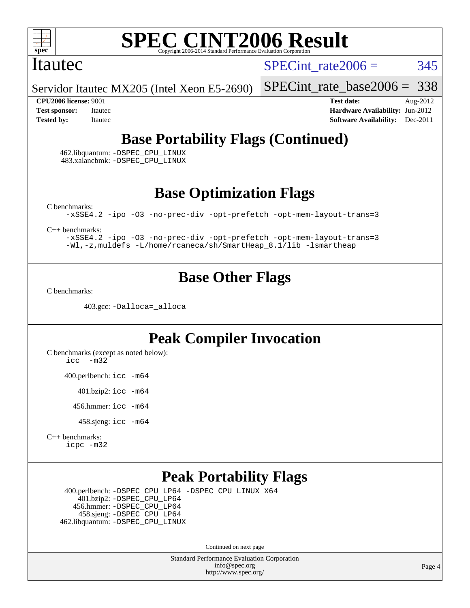

### Itautec

SPECint rate $2006 = 345$ 

Servidor Itautec MX205 (Intel Xeon E5-2690)

[SPECint\\_rate\\_base2006 =](http://www.spec.org/auto/cpu2006/Docs/result-fields.html#SPECintratebase2006) 338

**[CPU2006 license:](http://www.spec.org/auto/cpu2006/Docs/result-fields.html#CPU2006license)** 9001 **[Test date:](http://www.spec.org/auto/cpu2006/Docs/result-fields.html#Testdate)** Aug-2012 **[Test sponsor:](http://www.spec.org/auto/cpu2006/Docs/result-fields.html#Testsponsor)** Itautec **[Hardware Availability:](http://www.spec.org/auto/cpu2006/Docs/result-fields.html#HardwareAvailability)** Jun-2012 **[Tested by:](http://www.spec.org/auto/cpu2006/Docs/result-fields.html#Testedby)** Itautec **Italien Contract Contract Contract Contract Contract Contract Contract Contract Contract Contract Contract Contract Contract Contract Contract Contract Contract Contract Contract Contract Contract Con** 

## **[Base Portability Flags \(Continued\)](http://www.spec.org/auto/cpu2006/Docs/result-fields.html#BasePortabilityFlags)**

 462.libquantum: [-DSPEC\\_CPU\\_LINUX](http://www.spec.org/cpu2006/results/res2012q3/cpu2006-20120817-24246.flags.html#b462.libquantum_baseCPORTABILITY_DSPEC_CPU_LINUX) 483.xalancbmk: [-DSPEC\\_CPU\\_LINUX](http://www.spec.org/cpu2006/results/res2012q3/cpu2006-20120817-24246.flags.html#b483.xalancbmk_baseCXXPORTABILITY_DSPEC_CPU_LINUX)

**[Base Optimization Flags](http://www.spec.org/auto/cpu2006/Docs/result-fields.html#BaseOptimizationFlags)**

[C benchmarks](http://www.spec.org/auto/cpu2006/Docs/result-fields.html#Cbenchmarks):

[-xSSE4.2](http://www.spec.org/cpu2006/results/res2012q3/cpu2006-20120817-24246.flags.html#user_CCbase_f-xSSE42_f91528193cf0b216347adb8b939d4107) [-ipo](http://www.spec.org/cpu2006/results/res2012q3/cpu2006-20120817-24246.flags.html#user_CCbase_f-ipo) [-O3](http://www.spec.org/cpu2006/results/res2012q3/cpu2006-20120817-24246.flags.html#user_CCbase_f-O3) [-no-prec-div](http://www.spec.org/cpu2006/results/res2012q3/cpu2006-20120817-24246.flags.html#user_CCbase_f-no-prec-div) [-opt-prefetch](http://www.spec.org/cpu2006/results/res2012q3/cpu2006-20120817-24246.flags.html#user_CCbase_f-opt-prefetch) [-opt-mem-layout-trans=3](http://www.spec.org/cpu2006/results/res2012q3/cpu2006-20120817-24246.flags.html#user_CCbase_f-opt-mem-layout-trans_a7b82ad4bd7abf52556d4961a2ae94d5)

[C++ benchmarks:](http://www.spec.org/auto/cpu2006/Docs/result-fields.html#CXXbenchmarks)

[-xSSE4.2](http://www.spec.org/cpu2006/results/res2012q3/cpu2006-20120817-24246.flags.html#user_CXXbase_f-xSSE42_f91528193cf0b216347adb8b939d4107) [-ipo](http://www.spec.org/cpu2006/results/res2012q3/cpu2006-20120817-24246.flags.html#user_CXXbase_f-ipo) [-O3](http://www.spec.org/cpu2006/results/res2012q3/cpu2006-20120817-24246.flags.html#user_CXXbase_f-O3) [-no-prec-div](http://www.spec.org/cpu2006/results/res2012q3/cpu2006-20120817-24246.flags.html#user_CXXbase_f-no-prec-div) [-opt-prefetch](http://www.spec.org/cpu2006/results/res2012q3/cpu2006-20120817-24246.flags.html#user_CXXbase_f-opt-prefetch) [-opt-mem-layout-trans=3](http://www.spec.org/cpu2006/results/res2012q3/cpu2006-20120817-24246.flags.html#user_CXXbase_f-opt-mem-layout-trans_a7b82ad4bd7abf52556d4961a2ae94d5) [-Wl,-z,muldefs](http://www.spec.org/cpu2006/results/res2012q3/cpu2006-20120817-24246.flags.html#user_CXXbase_link_force_multiple1_74079c344b956b9658436fd1b6dd3a8a) [-L/home/rcaneca/sh/SmartHeap\\_8.1/lib -lsmartheap](http://www.spec.org/cpu2006/results/res2012q3/cpu2006-20120817-24246.flags.html#user_CXXbase_SmartHeap_0f3a9c58980a95eacf4c6b7a458c149d)

## **[Base Other Flags](http://www.spec.org/auto/cpu2006/Docs/result-fields.html#BaseOtherFlags)**

[C benchmarks](http://www.spec.org/auto/cpu2006/Docs/result-fields.html#Cbenchmarks):

403.gcc: [-Dalloca=\\_alloca](http://www.spec.org/cpu2006/results/res2012q3/cpu2006-20120817-24246.flags.html#b403.gcc_baseEXTRA_CFLAGS_Dalloca_be3056838c12de2578596ca5467af7f3)

## **[Peak Compiler Invocation](http://www.spec.org/auto/cpu2006/Docs/result-fields.html#PeakCompilerInvocation)**

[C benchmarks \(except as noted below\)](http://www.spec.org/auto/cpu2006/Docs/result-fields.html#Cbenchmarksexceptasnotedbelow): [icc -m32](http://www.spec.org/cpu2006/results/res2012q3/cpu2006-20120817-24246.flags.html#user_CCpeak_intel_icc_5ff4a39e364c98233615fdd38438c6f2)

400.perlbench: [icc -m64](http://www.spec.org/cpu2006/results/res2012q3/cpu2006-20120817-24246.flags.html#user_peakCCLD400_perlbench_intel_icc_64bit_bda6cc9af1fdbb0edc3795bac97ada53)

401.bzip2: [icc -m64](http://www.spec.org/cpu2006/results/res2012q3/cpu2006-20120817-24246.flags.html#user_peakCCLD401_bzip2_intel_icc_64bit_bda6cc9af1fdbb0edc3795bac97ada53)

456.hmmer: [icc -m64](http://www.spec.org/cpu2006/results/res2012q3/cpu2006-20120817-24246.flags.html#user_peakCCLD456_hmmer_intel_icc_64bit_bda6cc9af1fdbb0edc3795bac97ada53)

458.sjeng: [icc -m64](http://www.spec.org/cpu2006/results/res2012q3/cpu2006-20120817-24246.flags.html#user_peakCCLD458_sjeng_intel_icc_64bit_bda6cc9af1fdbb0edc3795bac97ada53)

[C++ benchmarks:](http://www.spec.org/auto/cpu2006/Docs/result-fields.html#CXXbenchmarks) [icpc -m32](http://www.spec.org/cpu2006/results/res2012q3/cpu2006-20120817-24246.flags.html#user_CXXpeak_intel_icpc_4e5a5ef1a53fd332b3c49e69c3330699)

## **[Peak Portability Flags](http://www.spec.org/auto/cpu2006/Docs/result-fields.html#PeakPortabilityFlags)**

 400.perlbench: [-DSPEC\\_CPU\\_LP64](http://www.spec.org/cpu2006/results/res2012q3/cpu2006-20120817-24246.flags.html#b400.perlbench_peakCPORTABILITY_DSPEC_CPU_LP64) [-DSPEC\\_CPU\\_LINUX\\_X64](http://www.spec.org/cpu2006/results/res2012q3/cpu2006-20120817-24246.flags.html#b400.perlbench_peakCPORTABILITY_DSPEC_CPU_LINUX_X64) 401.bzip2: [-DSPEC\\_CPU\\_LP64](http://www.spec.org/cpu2006/results/res2012q3/cpu2006-20120817-24246.flags.html#suite_peakCPORTABILITY401_bzip2_DSPEC_CPU_LP64) 456.hmmer: [-DSPEC\\_CPU\\_LP64](http://www.spec.org/cpu2006/results/res2012q3/cpu2006-20120817-24246.flags.html#suite_peakCPORTABILITY456_hmmer_DSPEC_CPU_LP64) 458.sjeng: [-DSPEC\\_CPU\\_LP64](http://www.spec.org/cpu2006/results/res2012q3/cpu2006-20120817-24246.flags.html#suite_peakCPORTABILITY458_sjeng_DSPEC_CPU_LP64) 462.libquantum: [-DSPEC\\_CPU\\_LINUX](http://www.spec.org/cpu2006/results/res2012q3/cpu2006-20120817-24246.flags.html#b462.libquantum_peakCPORTABILITY_DSPEC_CPU_LINUX)

Continued on next page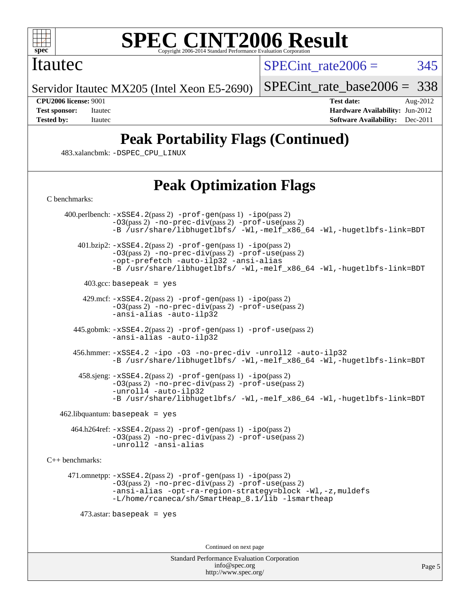

#### **[SPEC CINT2006 Result](http://www.spec.org/auto/cpu2006/Docs/result-fields.html#SPECCINT2006Result)** Copyright 2006-2014 Standard Performance Evaluation C

### Itautec

SPECint rate $2006 = 345$ 

Servidor Itautec MX205 (Intel Xeon E5-2690)

[SPECint\\_rate\\_base2006 =](http://www.spec.org/auto/cpu2006/Docs/result-fields.html#SPECintratebase2006) 338

**[CPU2006 license:](http://www.spec.org/auto/cpu2006/Docs/result-fields.html#CPU2006license)** 9001 **[Test date:](http://www.spec.org/auto/cpu2006/Docs/result-fields.html#Testdate)** Aug-2012 **[Test sponsor:](http://www.spec.org/auto/cpu2006/Docs/result-fields.html#Testsponsor)** Itautec **[Hardware Availability:](http://www.spec.org/auto/cpu2006/Docs/result-fields.html#HardwareAvailability)** Jun-2012 **[Tested by:](http://www.spec.org/auto/cpu2006/Docs/result-fields.html#Testedby)** Itautec **[Software Availability:](http://www.spec.org/auto/cpu2006/Docs/result-fields.html#SoftwareAvailability)** Dec-2011

# **[Peak Portability Flags \(Continued\)](http://www.spec.org/auto/cpu2006/Docs/result-fields.html#PeakPortabilityFlags)**

483.xalancbmk: [-DSPEC\\_CPU\\_LINUX](http://www.spec.org/cpu2006/results/res2012q3/cpu2006-20120817-24246.flags.html#b483.xalancbmk_peakCXXPORTABILITY_DSPEC_CPU_LINUX)

## **[Peak Optimization Flags](http://www.spec.org/auto/cpu2006/Docs/result-fields.html#PeakOptimizationFlags)**

[C benchmarks](http://www.spec.org/auto/cpu2006/Docs/result-fields.html#Cbenchmarks):

 400.perlbench: [-xSSE4.2](http://www.spec.org/cpu2006/results/res2012q3/cpu2006-20120817-24246.flags.html#user_peakPASS2_CFLAGSPASS2_LDCFLAGS400_perlbench_f-xSSE42_f91528193cf0b216347adb8b939d4107)(pass 2) [-prof-gen](http://www.spec.org/cpu2006/results/res2012q3/cpu2006-20120817-24246.flags.html#user_peakPASS1_CFLAGSPASS1_LDCFLAGS400_perlbench_prof_gen_e43856698f6ca7b7e442dfd80e94a8fc)(pass 1) [-ipo](http://www.spec.org/cpu2006/results/res2012q3/cpu2006-20120817-24246.flags.html#user_peakPASS2_CFLAGSPASS2_LDCFLAGS400_perlbench_f-ipo)(pass 2) [-O3](http://www.spec.org/cpu2006/results/res2012q3/cpu2006-20120817-24246.flags.html#user_peakPASS2_CFLAGSPASS2_LDCFLAGS400_perlbench_f-O3)(pass 2) [-no-prec-div](http://www.spec.org/cpu2006/results/res2012q3/cpu2006-20120817-24246.flags.html#user_peakPASS2_CFLAGSPASS2_LDCFLAGS400_perlbench_f-no-prec-div)(pass 2) [-prof-use](http://www.spec.org/cpu2006/results/res2012q3/cpu2006-20120817-24246.flags.html#user_peakPASS2_CFLAGSPASS2_LDCFLAGS400_perlbench_prof_use_bccf7792157ff70d64e32fe3e1250b55)(pass 2) [-B /usr/share/libhugetlbfs/ -Wl,-melf\\_x86\\_64 -Wl,-hugetlbfs-link=BDT](http://www.spec.org/cpu2006/results/res2012q3/cpu2006-20120817-24246.flags.html#user_peakPASS1_LDOPTPASS2_LDOPT400_perlbench_link_for_large_pages_64bit_fe1717234df9d3a8c8833ff77218828e)  $401.bzip2: -xSSE4.2(pass 2) -prof-gen(pass 1) -ipo(pass 2)$  $401.bzip2: -xSSE4.2(pass 2) -prof-gen(pass 1) -ipo(pass 2)$  $401.bzip2: -xSSE4.2(pass 2) -prof-gen(pass 1) -ipo(pass 2)$  $401.bzip2: -xSSE4.2(pass 2) -prof-gen(pass 1) -ipo(pass 2)$  $401.bzip2: -xSSE4.2(pass 2) -prof-gen(pass 1) -ipo(pass 2)$  $401.bzip2: -xSSE4.2(pass 2) -prof-gen(pass 1) -ipo(pass 2)$  $401.bzip2: -xSSE4.2(pass 2) -prof-gen(pass 1) -ipo(pass 2)$ [-O3](http://www.spec.org/cpu2006/results/res2012q3/cpu2006-20120817-24246.flags.html#user_peakPASS2_CFLAGSPASS2_LDCFLAGS401_bzip2_f-O3)(pass 2) [-no-prec-div](http://www.spec.org/cpu2006/results/res2012q3/cpu2006-20120817-24246.flags.html#user_peakPASS2_CFLAGSPASS2_LDCFLAGS401_bzip2_f-no-prec-div)(pass 2) [-prof-use](http://www.spec.org/cpu2006/results/res2012q3/cpu2006-20120817-24246.flags.html#user_peakPASS2_CFLAGSPASS2_LDCFLAGS401_bzip2_prof_use_bccf7792157ff70d64e32fe3e1250b55)(pass 2) [-opt-prefetch](http://www.spec.org/cpu2006/results/res2012q3/cpu2006-20120817-24246.flags.html#user_peakCOPTIMIZE401_bzip2_f-opt-prefetch) [-auto-ilp32](http://www.spec.org/cpu2006/results/res2012q3/cpu2006-20120817-24246.flags.html#user_peakCOPTIMIZE401_bzip2_f-auto-ilp32) [-ansi-alias](http://www.spec.org/cpu2006/results/res2012q3/cpu2006-20120817-24246.flags.html#user_peakCOPTIMIZE401_bzip2_f-ansi-alias) [-B /usr/share/libhugetlbfs/ -Wl,-melf\\_x86\\_64 -Wl,-hugetlbfs-link=BDT](http://www.spec.org/cpu2006/results/res2012q3/cpu2006-20120817-24246.flags.html#user_peakPASS1_LDOPTPASS2_LDOPT401_bzip2_link_for_large_pages_64bit_fe1717234df9d3a8c8833ff77218828e)  $403.\text{gcc: basepeak}$  = yes 429.mcf: [-xSSE4.2](http://www.spec.org/cpu2006/results/res2012q3/cpu2006-20120817-24246.flags.html#user_peakPASS2_CFLAGSPASS2_LDCFLAGS429_mcf_f-xSSE42_f91528193cf0b216347adb8b939d4107)(pass 2) [-prof-gen](http://www.spec.org/cpu2006/results/res2012q3/cpu2006-20120817-24246.flags.html#user_peakPASS1_CFLAGSPASS1_LDCFLAGS429_mcf_prof_gen_e43856698f6ca7b7e442dfd80e94a8fc)(pass 1) [-ipo](http://www.spec.org/cpu2006/results/res2012q3/cpu2006-20120817-24246.flags.html#user_peakPASS2_CFLAGSPASS2_LDCFLAGS429_mcf_f-ipo)(pass 2) [-O3](http://www.spec.org/cpu2006/results/res2012q3/cpu2006-20120817-24246.flags.html#user_peakPASS2_CFLAGSPASS2_LDCFLAGS429_mcf_f-O3)(pass 2) [-no-prec-div](http://www.spec.org/cpu2006/results/res2012q3/cpu2006-20120817-24246.flags.html#user_peakPASS2_CFLAGSPASS2_LDCFLAGS429_mcf_f-no-prec-div)(pass 2) [-prof-use](http://www.spec.org/cpu2006/results/res2012q3/cpu2006-20120817-24246.flags.html#user_peakPASS2_CFLAGSPASS2_LDCFLAGS429_mcf_prof_use_bccf7792157ff70d64e32fe3e1250b55)(pass 2) [-ansi-alias](http://www.spec.org/cpu2006/results/res2012q3/cpu2006-20120817-24246.flags.html#user_peakCOPTIMIZE429_mcf_f-ansi-alias) [-auto-ilp32](http://www.spec.org/cpu2006/results/res2012q3/cpu2006-20120817-24246.flags.html#user_peakCOPTIMIZE429_mcf_f-auto-ilp32) 445.gobmk: [-xSSE4.2](http://www.spec.org/cpu2006/results/res2012q3/cpu2006-20120817-24246.flags.html#user_peakPASS2_CFLAGSPASS2_LDCFLAGS445_gobmk_f-xSSE42_f91528193cf0b216347adb8b939d4107)(pass 2) [-prof-gen](http://www.spec.org/cpu2006/results/res2012q3/cpu2006-20120817-24246.flags.html#user_peakPASS1_CFLAGSPASS1_LDCFLAGS445_gobmk_prof_gen_e43856698f6ca7b7e442dfd80e94a8fc)(pass 1) [-prof-use](http://www.spec.org/cpu2006/results/res2012q3/cpu2006-20120817-24246.flags.html#user_peakPASS2_CFLAGSPASS2_LDCFLAGS445_gobmk_prof_use_bccf7792157ff70d64e32fe3e1250b55)(pass 2) [-ansi-alias](http://www.spec.org/cpu2006/results/res2012q3/cpu2006-20120817-24246.flags.html#user_peakCOPTIMIZE445_gobmk_f-ansi-alias) [-auto-ilp32](http://www.spec.org/cpu2006/results/res2012q3/cpu2006-20120817-24246.flags.html#user_peakCOPTIMIZE445_gobmk_f-auto-ilp32) 456.hmmer: [-xSSE4.2](http://www.spec.org/cpu2006/results/res2012q3/cpu2006-20120817-24246.flags.html#user_peakCOPTIMIZE456_hmmer_f-xSSE42_f91528193cf0b216347adb8b939d4107) [-ipo](http://www.spec.org/cpu2006/results/res2012q3/cpu2006-20120817-24246.flags.html#user_peakCOPTIMIZE456_hmmer_f-ipo) [-O3](http://www.spec.org/cpu2006/results/res2012q3/cpu2006-20120817-24246.flags.html#user_peakCOPTIMIZE456_hmmer_f-O3) [-no-prec-div](http://www.spec.org/cpu2006/results/res2012q3/cpu2006-20120817-24246.flags.html#user_peakCOPTIMIZE456_hmmer_f-no-prec-div) [-unroll2](http://www.spec.org/cpu2006/results/res2012q3/cpu2006-20120817-24246.flags.html#user_peakCOPTIMIZE456_hmmer_f-unroll_784dae83bebfb236979b41d2422d7ec2) [-auto-ilp32](http://www.spec.org/cpu2006/results/res2012q3/cpu2006-20120817-24246.flags.html#user_peakCOPTIMIZE456_hmmer_f-auto-ilp32) [-B /usr/share/libhugetlbfs/ -Wl,-melf\\_x86\\_64 -Wl,-hugetlbfs-link=BDT](http://www.spec.org/cpu2006/results/res2012q3/cpu2006-20120817-24246.flags.html#user_peakLDOPT456_hmmer_link_for_large_pages_64bit_fe1717234df9d3a8c8833ff77218828e) 458.sjeng: [-xSSE4.2](http://www.spec.org/cpu2006/results/res2012q3/cpu2006-20120817-24246.flags.html#user_peakPASS2_CFLAGSPASS2_LDCFLAGS458_sjeng_f-xSSE42_f91528193cf0b216347adb8b939d4107)(pass 2) [-prof-gen](http://www.spec.org/cpu2006/results/res2012q3/cpu2006-20120817-24246.flags.html#user_peakPASS1_CFLAGSPASS1_LDCFLAGS458_sjeng_prof_gen_e43856698f6ca7b7e442dfd80e94a8fc)(pass 1) [-ipo](http://www.spec.org/cpu2006/results/res2012q3/cpu2006-20120817-24246.flags.html#user_peakPASS2_CFLAGSPASS2_LDCFLAGS458_sjeng_f-ipo)(pass 2) [-O3](http://www.spec.org/cpu2006/results/res2012q3/cpu2006-20120817-24246.flags.html#user_peakPASS2_CFLAGSPASS2_LDCFLAGS458_sjeng_f-O3)(pass 2) [-no-prec-div](http://www.spec.org/cpu2006/results/res2012q3/cpu2006-20120817-24246.flags.html#user_peakPASS2_CFLAGSPASS2_LDCFLAGS458_sjeng_f-no-prec-div)(pass 2) [-prof-use](http://www.spec.org/cpu2006/results/res2012q3/cpu2006-20120817-24246.flags.html#user_peakPASS2_CFLAGSPASS2_LDCFLAGS458_sjeng_prof_use_bccf7792157ff70d64e32fe3e1250b55)(pass 2) [-unroll4](http://www.spec.org/cpu2006/results/res2012q3/cpu2006-20120817-24246.flags.html#user_peakCOPTIMIZE458_sjeng_f-unroll_4e5e4ed65b7fd20bdcd365bec371b81f) [-auto-ilp32](http://www.spec.org/cpu2006/results/res2012q3/cpu2006-20120817-24246.flags.html#user_peakCOPTIMIZE458_sjeng_f-auto-ilp32) -B /usr/share/libhugetlbfs/ -Wl,-melf x86 64 -Wl,-hugetlbfs-link=BDT  $462$ .libquantum: basepeak = yes 464.h264ref: [-xSSE4.2](http://www.spec.org/cpu2006/results/res2012q3/cpu2006-20120817-24246.flags.html#user_peakPASS2_CFLAGSPASS2_LDCFLAGS464_h264ref_f-xSSE42_f91528193cf0b216347adb8b939d4107)(pass 2) [-prof-gen](http://www.spec.org/cpu2006/results/res2012q3/cpu2006-20120817-24246.flags.html#user_peakPASS1_CFLAGSPASS1_LDCFLAGS464_h264ref_prof_gen_e43856698f6ca7b7e442dfd80e94a8fc)(pass 1) [-ipo](http://www.spec.org/cpu2006/results/res2012q3/cpu2006-20120817-24246.flags.html#user_peakPASS2_CFLAGSPASS2_LDCFLAGS464_h264ref_f-ipo)(pass 2) [-O3](http://www.spec.org/cpu2006/results/res2012q3/cpu2006-20120817-24246.flags.html#user_peakPASS2_CFLAGSPASS2_LDCFLAGS464_h264ref_f-O3)(pass 2) [-no-prec-div](http://www.spec.org/cpu2006/results/res2012q3/cpu2006-20120817-24246.flags.html#user_peakPASS2_CFLAGSPASS2_LDCFLAGS464_h264ref_f-no-prec-div)(pass 2) [-prof-use](http://www.spec.org/cpu2006/results/res2012q3/cpu2006-20120817-24246.flags.html#user_peakPASS2_CFLAGSPASS2_LDCFLAGS464_h264ref_prof_use_bccf7792157ff70d64e32fe3e1250b55)(pass 2) [-unroll2](http://www.spec.org/cpu2006/results/res2012q3/cpu2006-20120817-24246.flags.html#user_peakCOPTIMIZE464_h264ref_f-unroll_784dae83bebfb236979b41d2422d7ec2) [-ansi-alias](http://www.spec.org/cpu2006/results/res2012q3/cpu2006-20120817-24246.flags.html#user_peakCOPTIMIZE464_h264ref_f-ansi-alias) [C++ benchmarks:](http://www.spec.org/auto/cpu2006/Docs/result-fields.html#CXXbenchmarks) 471.omnetpp: [-xSSE4.2](http://www.spec.org/cpu2006/results/res2012q3/cpu2006-20120817-24246.flags.html#user_peakPASS2_CXXFLAGSPASS2_LDCXXFLAGS471_omnetpp_f-xSSE42_f91528193cf0b216347adb8b939d4107)(pass 2) [-prof-gen](http://www.spec.org/cpu2006/results/res2012q3/cpu2006-20120817-24246.flags.html#user_peakPASS1_CXXFLAGSPASS1_LDCXXFLAGS471_omnetpp_prof_gen_e43856698f6ca7b7e442dfd80e94a8fc)(pass 1) [-ipo](http://www.spec.org/cpu2006/results/res2012q3/cpu2006-20120817-24246.flags.html#user_peakPASS2_CXXFLAGSPASS2_LDCXXFLAGS471_omnetpp_f-ipo)(pass 2) [-O3](http://www.spec.org/cpu2006/results/res2012q3/cpu2006-20120817-24246.flags.html#user_peakPASS2_CXXFLAGSPASS2_LDCXXFLAGS471_omnetpp_f-O3)(pass 2) [-no-prec-div](http://www.spec.org/cpu2006/results/res2012q3/cpu2006-20120817-24246.flags.html#user_peakPASS2_CXXFLAGSPASS2_LDCXXFLAGS471_omnetpp_f-no-prec-div)(pass 2) [-prof-use](http://www.spec.org/cpu2006/results/res2012q3/cpu2006-20120817-24246.flags.html#user_peakPASS2_CXXFLAGSPASS2_LDCXXFLAGS471_omnetpp_prof_use_bccf7792157ff70d64e32fe3e1250b55)(pass 2) [-ansi-alias](http://www.spec.org/cpu2006/results/res2012q3/cpu2006-20120817-24246.flags.html#user_peakCXXOPTIMIZE471_omnetpp_f-ansi-alias) [-opt-ra-region-strategy=block](http://www.spec.org/cpu2006/results/res2012q3/cpu2006-20120817-24246.flags.html#user_peakCXXOPTIMIZE471_omnetpp_f-opt-ra-region-strategy_a0a37c372d03933b2a18d4af463c1f69) [-Wl,-z,muldefs](http://www.spec.org/cpu2006/results/res2012q3/cpu2006-20120817-24246.flags.html#user_peakEXTRA_LDFLAGS471_omnetpp_link_force_multiple1_74079c344b956b9658436fd1b6dd3a8a) [-L/home/rcaneca/sh/SmartHeap\\_8.1/lib -lsmartheap](http://www.spec.org/cpu2006/results/res2012q3/cpu2006-20120817-24246.flags.html#user_peakEXTRA_LIBS471_omnetpp_SmartHeap_0f3a9c58980a95eacf4c6b7a458c149d) 473.astar: basepeak = yes Continued on next page